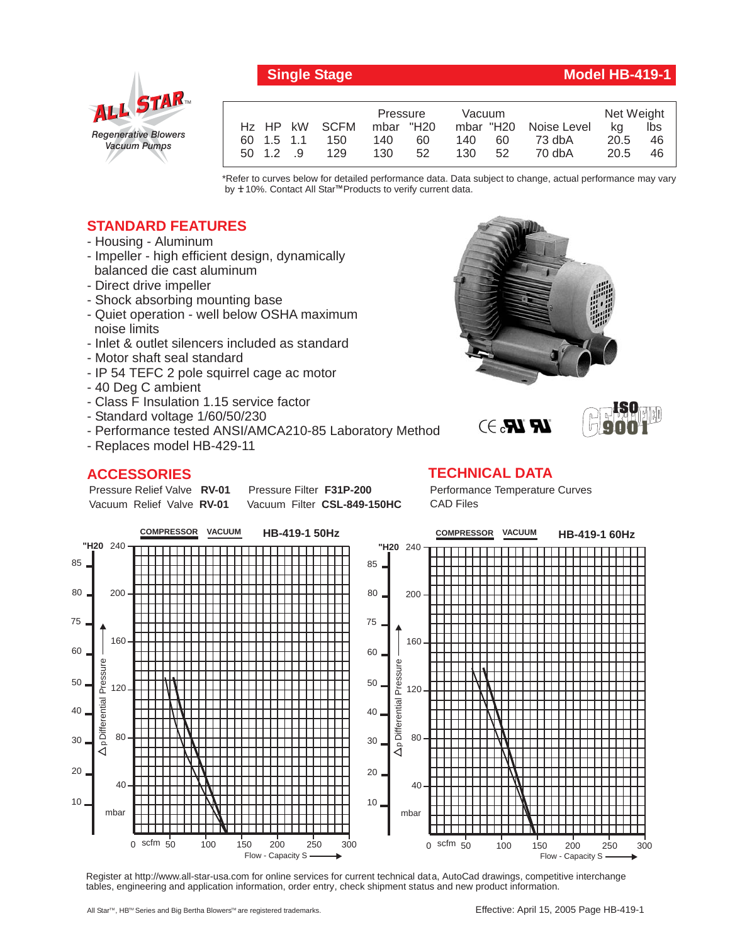

## **Single Stage Model HB-419-1**

|  |            |               | Pressure  |    | Vacuum |     |                       | Net Weight |     |
|--|------------|---------------|-----------|----|--------|-----|-----------------------|------------|-----|
|  |            | Hz HP kW SCFM | mbar "H20 |    |        |     | mbar "H20 Noise Level | ka         | lbs |
|  | 60 1.5 1.1 | 150           | 140       | 60 | 140    | 60  | 73 dbA                | 20.5       | 46  |
|  | 50 1.2 9   | 129           | 130       | 52 | 130    | -52 | 70 dbA                | 20.5       | 46  |

\*Refer to curves below for detailed performance data. Data subject to change, actual performance may vary by **+** 10%. Contact All Star™Products to verify current data.

## **STANDARD FEATURES**

- Housing Aluminum
- Impeller high efficient design, dynamically balanced die cast aluminum
- Direct drive impeller
- Shock absorbing mounting base
- Quiet operation well below OSHA maximum noise limits
- Inlet & outlet silencers included as standard
- Motor shaft seal standard
- IP 54 TEFC 2 pole squirrel cage ac motor
- 40 Deg C ambient
- Class F Insulation 1.15 service factor
- Standard voltage 1/60/50/230
- Performance tested ANSI/AMCA210-85 Laboratory Method
- Replaces model HB-429-11

Pressure Relief Valve RV-01 Vacuum Relief Valve RV-01

## **ACCESSORIES**

**Pressure Filter F31P-200** Vacuum Filter CSL-849-150HC **TECHNICAL DATA** Performance Temperature Curves CAD Files

**COMPRESSOR VACUUM COMPRESSOR VACUUM HB-419-1 50Hz HB-419-1 60Hz** 240 **"H20** 240 **"H20** 85 85 80 200 80 200 75 75 160 160 60 60 Pressure Pressure Differential Pressure Differential Pressure 50 50 120 120 Differential 40 40 80 80 30 30  $\Omega$  $\circ$ 20 20 40 40 10 10 mbar mbar 0 scfm 50 100 150 200 250 300 0 scfm 50 100 150 200 250 300 Flow - Capacity S Flow - Capacity S

Register at http://www.all-star-usa.com for online services for current technical data, AutoCad drawings, competitive interchange tables, engineering and application information, order entry, check shipment status and new product information.



 $\mathbb{R}$   $\mathbb{R}$ . $\ni$